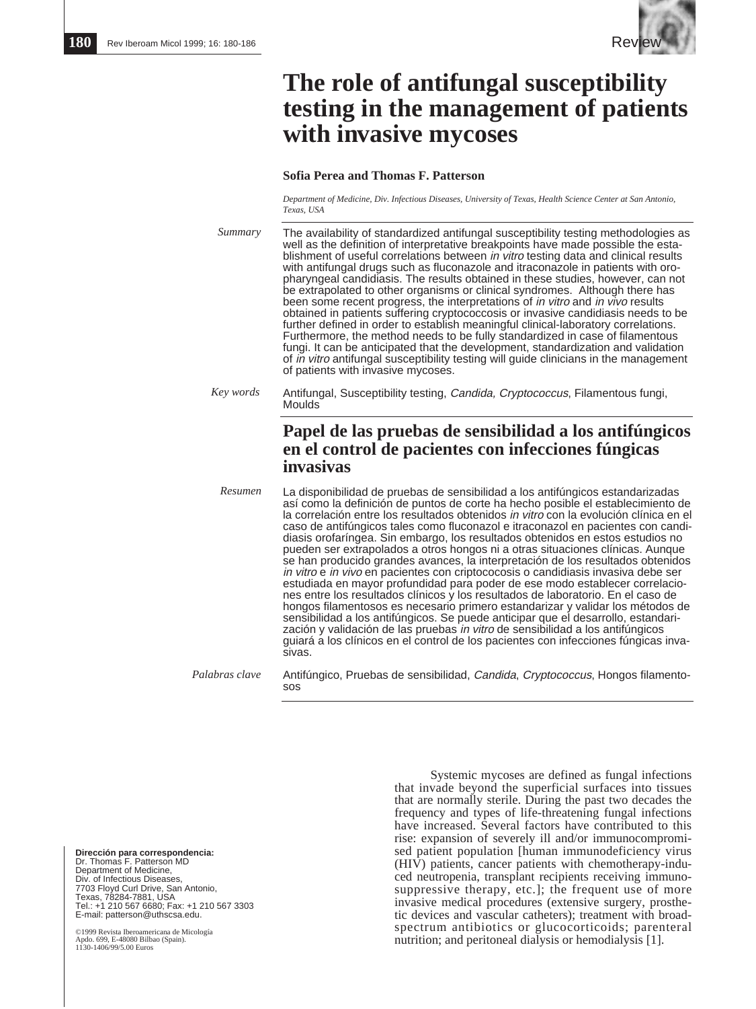

# **The role of antifungal susceptibility testing in the management of patients with invasive mycoses**

### **Sofia Perea and Thomas F. Patterson**

*Department of Medicine, Div. Infectious Diseases, University of Texas, Health Science Center at San Antonio, Texas, USA*

The availability of standardized antifungal susceptibility testing methodologies as well as the definition of interpretative breakpoints have made possible the establishment of useful correlations between in vitro testing data and clinical results with antifungal drugs such as fluconazole and itraconazole in patients with oropharyngeal candidiasis. The results obtained in these studies, however, can not be extrapolated to other organisms or clinical syndromes. Although there has been some recent progress, the interpretations of *in vitro* and *in vivo* results obtained in patients suffering cryptococcosis or invasive candidiasis needs to be further defined in order to establish meaningful clinical-laboratory correlations. Furthermore, the method needs to be fully standardized in case of filamentous fungi. It can be anticipated that the development, standardization and validation of in vitro antifungal susceptibility testing will guide clinicians in the management of patients with invasive mycoses. Antifungal, Susceptibility testing, Candida, Cryptococcus, Filamentous fungi, Moulds **Papel de las pruebas de sensibilidad a los antifúngicos en el control de pacientes con infecciones fúngicas invasivas** La disponibilidad de pruebas de sensibilidad a los antifúngicos estandarizadas así como la definición de puntos de corte ha hecho posible el establecimiento de *Summary Key words Resumen*

la correlación entre los resultados obtenidos in vitro con la evolución clínica en el caso de antifúngicos tales como fluconazol e itraconazol en pacientes con candidiasis orofaríngea. Sin embargo, los resultados obtenidos en estos estudios no pueden ser extrapolados a otros hongos ni a otras situaciones clínicas. Aunque se han producido grandes avances, la interpretación de los resultados obtenidos in vitro e in vivo en pacientes con criptococosis o candidiasis invasiva debe ser estudiada en mayor profundidad para poder de ese modo establecer correlaciones entre los resultados clínicos y los resultados de laboratorio. En el caso de hongos filamentosos es necesario primero estandarizar y validar los métodos de sensibilidad a los antifúngicos. Se puede anticipar que el desarrollo, estandarización y validación de las pruebas in vitro de sensibilidad a los antifúngicos guiará a los clínicos en el control de los pacientes con infecciones fúngicas invasivas.

Antifúngico, Pruebas de sensibilidad, Candida, Cryptococcus, Hongos filamentosos *Palabras clave*

**Dirección para correspondencia:**<br>Dr. Thomas F. Patterson MD<br>Department of Medicine, Div. of Infectious Diseases, 7703 Floyd Curl Drive, San Antonio, Texas, 78284-7881, USA Tel.: +1 210 567 6680; Fax: +1 210 567 3303 E-mail: patterson@uthscsa.edu.

©1999 Revista Iberoamericana de Micología Apdo. 699, E-48080 Bilbao (Spain). Apuo. 022, Lembour 2000.<br>1130-1406/99/5.00 Euros

Systemic mycoses are defined as fungal infections that invade beyond the superficial surfaces into tissues that are normally sterile. During the past two decades the frequency and types of life-threatening fungal infections have increased. Several factors have contributed to this rise: expansion of severely ill and/or immunocompromised patient population [human immunodeficiency virus (HIV) patients, cancer patients with chemotherapy-induced neutropenia, transplant recipients receiving immunosuppressive therapy, etc.]; the frequent use of more invasive medical procedures (extensive surgery, prosthetic devices and vascular catheters); treatment with broadspectrum antibiotics or glucocorticoids; parenteral nutrition; and peritoneal dialysis or hemodialysis [1].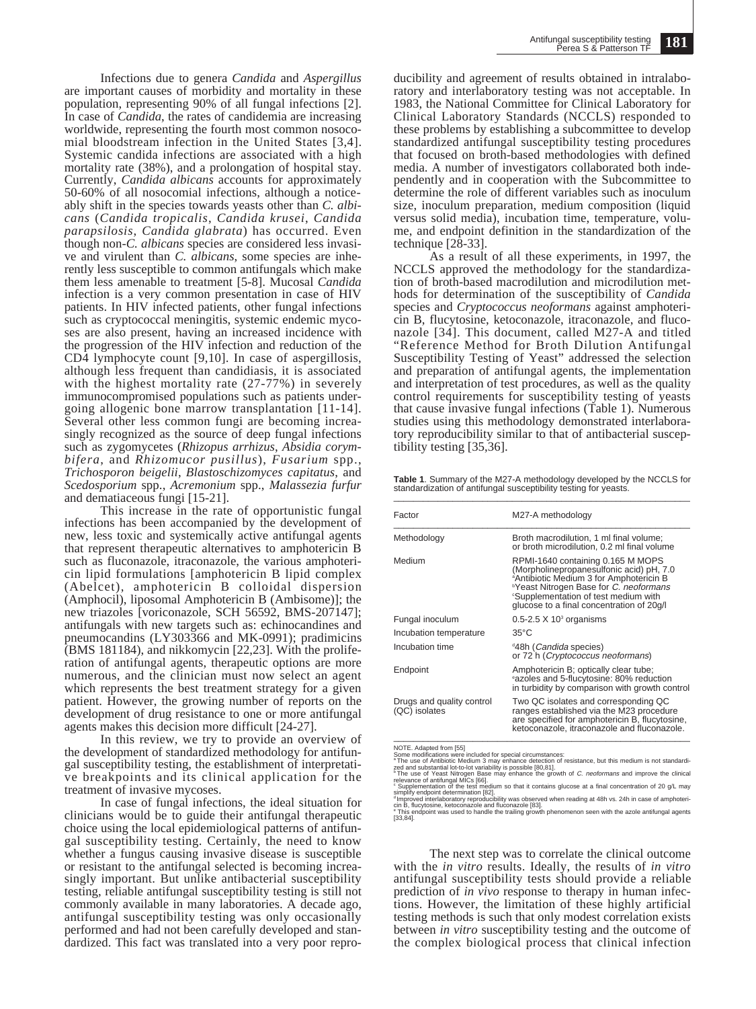Infections due to genera *Candida* and *Aspergillus* are important causes of morbidity and mortality in these population, representing 90% of all fungal infections [2]. In case of *Candida*, the rates of candidemia are increasing worldwide, representing the fourth most common nosocomial bloodstream infection in the United States [3,4]. Systemic candida infections are associated with a high mortality rate (38%), and a prolongation of hospital stay. Currently, *Candida albicans* accounts for approximately 50-60% of all nosocomial infections, although a noticeably shift in the species towards yeasts other than *C. albicans* (*Candida tropicalis*, *Candida krusei*, *Candida parapsilosis*, *Candida glabrata*) has occurred. Even though non-*C. albicans* species are considered less invasive and virulent than *C. albicans*, some species are inherently less susceptible to common antifungals which make them less amenable to treatment [5-8]. Mucosal *Candida* infection is a very common presentation in case of HIV patients. In HIV infected patients, other fungal infections such as cryptococcal meningitis, systemic endemic mycoses are also present, having an increased incidence with the progression of the HIV infection and reduction of the CD4 lymphocyte count [9,10]. In case of aspergillosis, although less frequent than candidiasis, it is associated with the highest mortality rate (27-77%) in severely immunocompromised populations such as patients undergoing allogenic bone marrow transplantation [11-14]. Several other less common fungi are becoming increasingly recognized as the source of deep fungal infections such as zygomycetes (*Rhizopus arrhizus*, *Absidia corymbifera*, and *Rhizomucor pusillus*), *Fusarium* spp., *Trichosporon beigelii*, *Blastoschizomyces capitatus*, and *Scedosporium* spp., *Acremonium* spp., *Malassezia furfur* and dematiaceous fungi [15-21].

This increase in the rate of opportunistic fungal infections has been accompanied by the development of new, less toxic and systemically active antifungal agents that represent therapeutic alternatives to amphotericin B such as fluconazole, itraconazole, the various amphotericin lipid formulations [amphotericin B lipid complex (Abelcet), amphotericin B colloidal dispersion (Amphocil), liposomal Amphotericin B (Ambisome)]; the new triazoles [voriconazole, SCH 56592, BMS-207147]; antifungals with new targets such as: echinocandines and pneumocandins (LY303366 and MK-0991); pradimicins (BMS 181184), and nikkomycin [22,23]. With the proliferation of antifungal agents, therapeutic options are more numerous, and the clinician must now select an agent which represents the best treatment strategy for a given patient. However, the growing number of reports on the development of drug resistance to one or more antifungal agents makes this decision more difficult [24-27].

In this review, we try to provide an overview of the development of standardized methodology for antifungal susceptibility testing, the establishment of interpretative breakpoints and its clinical application for the treatment of invasive mycoses.

In case of fungal infections, the ideal situation for clinicians would be to guide their antifungal therapeutic choice using the local epidemiological patterns of antifungal susceptibility testing. Certainly, the need to know whether a fungus causing invasive disease is susceptible or resistant to the antifungal selected is becoming increasingly important. But unlike antibacterial susceptibility testing, reliable antifungal susceptibility testing is still not commonly available in many laboratories. A decade ago, antifungal susceptibility testing was only occasionally performed and had not been carefully developed and standardized. This fact was translated into a very poor reproducibility and agreement of results obtained in intralaboratory and interlaboratory testing was not acceptable. In 1983, the National Committee for Clinical Laboratory for Clinical Laboratory Standards (NCCLS) responded to these problems by establishing a subcommittee to develop standardized antifungal susceptibility testing procedures that focused on broth-based methodologies with defined media. A number of investigators collaborated both independently and in cooperation with the Subcommittee to determine the role of different variables such as inoculum size, inoculum preparation, medium composition (liquid versus solid media), incubation time, temperature, volume, and endpoint definition in the standardization of the technique [28-33].

As a result of all these experiments, in 1997, the NCCLS approved the methodology for the standardization of broth-based macrodilution and microdilution methods for determination of the susceptibility of *Candida* species and *Cryptococcus neoformans* against amphotericin B, flucytosine, ketoconazole, itraconazole, and fluconazole [34]. This document, called M27-A and titled "Reference Method for Broth Dilution Antifungal Susceptibility Testing of Yeast" addressed the selection and preparation of antifungal agents, the implementation and interpretation of test procedures, as well as the quality control requirements for susceptibility testing of yeasts that cause invasive fungal infections (Table 1). Numerous studies using this methodology demonstrated interlaboratory reproducibility similar to that of antibacterial susceptibility testing [35,36].

**Table 1**. Summary of the M27-A methodology developed by the NCCLS for standardization of antifungal susceptibility testing for yeasts. \_\_\_\_\_\_\_\_\_\_\_\_\_\_\_\_\_\_\_\_\_\_\_\_\_\_\_\_\_\_\_\_\_\_\_\_\_\_\_\_\_\_\_\_\_\_\_\_\_\_\_\_\_\_\_\_\_\_\_\_

| Factor                                     | M27-A methodology                                                                                                                                                                                                                                                                           |
|--------------------------------------------|---------------------------------------------------------------------------------------------------------------------------------------------------------------------------------------------------------------------------------------------------------------------------------------------|
| Methodology                                | Broth macrodilution, 1 ml final volume;<br>or broth microdilution, 0.2 ml final volume                                                                                                                                                                                                      |
| Medium                                     | RPMI-1640 containing 0.165 M MOPS<br>(Morpholinepropanesulfonic acid) pH, 7.0<br><sup>a</sup> Antibiotic Medium 3 for Amphotericin B<br><sup>b</sup> Yeast Nitrogen Base for C. neoformans<br><sup>c</sup> Supplementation of test medium with<br>glucose to a final concentration of 20g/l |
| Fungal inoculum                            | $0.5$ -2.5 X 10 <sup>3</sup> organisms                                                                                                                                                                                                                                                      |
| Incubation temperature                     | $35^{\circ}$ C                                                                                                                                                                                                                                                                              |
| Incubation time                            | <sup>d</sup> 48h ( <i>Candida</i> species)<br>or 72 h (Cryptococcus neoformans)                                                                                                                                                                                                             |
| Endpoint                                   | Amphotericin B; optically clear tube;<br>eazoles and 5-flucytosine: 80% reduction<br>in turbidity by comparison with growth control                                                                                                                                                         |
| Drugs and quality control<br>(QC) isolates | Two QC isolates and corresponding QC<br>ranges established via the M23 procedure<br>are specified for amphotericin B, flucytosine,<br>ketoconazole, itraconazole and fluconazole.                                                                                                           |

ketoconazole, itraconazole and fluconazole.<br>Some modifications were included for special circumstances:<br>The use of Antibiotic Medium 3 may enhance detection of resistance, but this medium is not standardi-<br>PThe use of Anti

cin B, flucytosine, ketoconazole and fluconazole [83]. <sup>e</sup> This endpoint was used to handle the trailing growth phenomenon seen with the azole antifungal agents [33,84].

The next step was to correlate the clinical outcome with the *in vitro* results. Ideally, the results of *in vitro* antifungal susceptibility tests should provide a reliable prediction of *in vivo* response to therapy in human infections. However, the limitation of these highly artificial testing methods is such that only modest correlation exists between *in vitro* susceptibility testing and the outcome of the complex biological process that clinical infection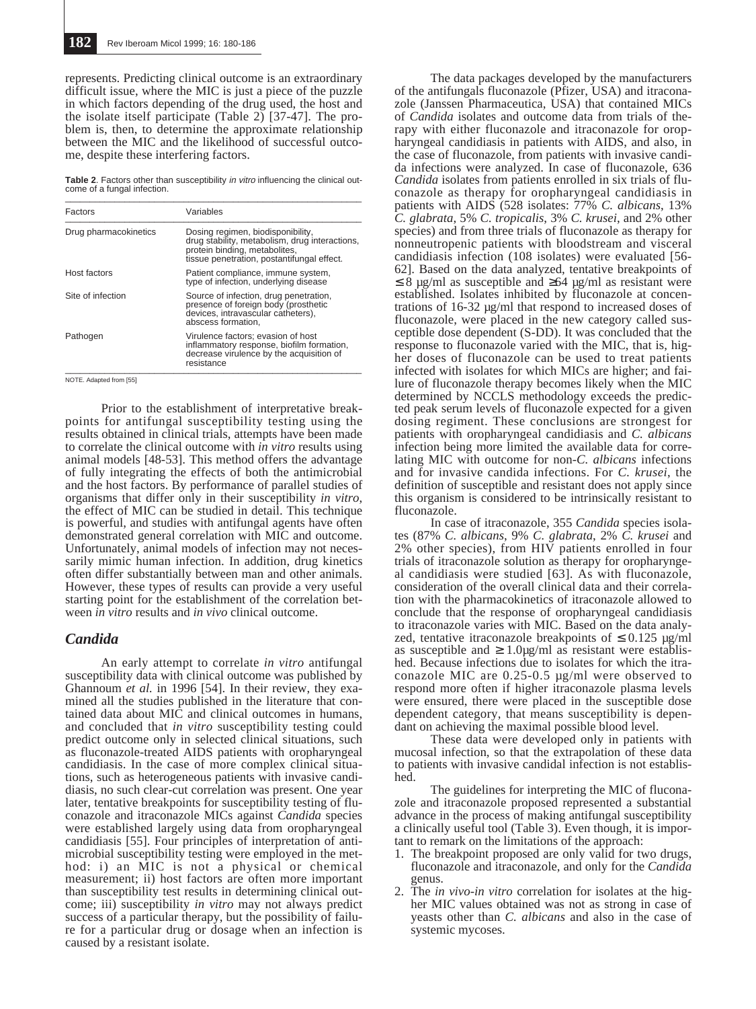represents. Predicting clinical outcome is an extraordinary difficult issue, where the MIC is just a piece of the puzzle in which factors depending of the drug used, the host and the isolate itself participate (Table 2) [37-47]. The problem is, then, to determine the approximate relationship between the MIC and the likelihood of successful outcome, despite these interfering factors.

**Table 2**. Factors other than susceptibility in vitro influencing the clinical out-come of a fungal infection.

| Factors               | Variables                                                                                                                                                          |  |  |
|-----------------------|--------------------------------------------------------------------------------------------------------------------------------------------------------------------|--|--|
| Drug pharmacokinetics | Dosing regimen, biodisponibility,<br>drug stability, metabolism, drug interactions,<br>protein binding, metabolites,<br>tissue penetration, postantifungal effect. |  |  |
| Host factors          | Patient compliance, immune system,<br>type of infection, underlying disease                                                                                        |  |  |
| Site of infection     | Source of infection, drug penetration,<br>presence of foreign body (prosthetic<br>devices, intravascular catheters),<br>abscess formation.                         |  |  |
| Pathogen              | Virulence factors; evasion of host<br>inflammatory response, biofilm formation,<br>decrease virulence by the acquisition of<br>resistance                          |  |  |

NOTE. Adapted from [55]

Prior to the establishment of interpretative breakpoints for antifungal susceptibility testing using the results obtained in clinical trials, attempts have been made to correlate the clinical outcome with *in vitro* results using animal models [48-53]. This method offers the advantage of fully integrating the effects of both the antimicrobial and the host factors. By performance of parallel studies of organisms that differ only in their susceptibility *in vitro*, the effect of MIC can be studied in detail. This technique is powerful, and studies with antifungal agents have often demonstrated general correlation with MIC and outcome. Unfortunately, animal models of infection may not necessarily mimic human infection. In addition, drug kinetics often differ substantially between man and other animals. However, these types of results can provide a very useful starting point for the establishment of the correlation between *in vitro* results and *in vivo* clinical outcome.

## *Candida*

An early attempt to correlate *in vitro* antifungal susceptibility data with clinical outcome was published by Ghannoum *et al.* in 1996 [54]. In their review, they examined all the studies published in the literature that contained data about MIC and clinical outcomes in humans, and concluded that *in vitro* susceptibility testing could predict outcome only in selected clinical situations, such as fluconazole-treated AIDS patients with oropharyngeal candidiasis. In the case of more complex clinical situations, such as heterogeneous patients with invasive candidiasis, no such clear-cut correlation was present. One year later, tentative breakpoints for susceptibility testing of fluconazole and itraconazole MICs against *Candida* species were established largely using data from oropharyngeal candidiasis [55]. Four principles of interpretation of antimicrobial susceptibility testing were employed in the method: i) an MIC is not a physical or chemical measurement; ii) host factors are often more important than susceptibility test results in determining clinical outcome; iii) susceptibility *in vitro* may not always predict success of a particular therapy, but the possibility of failure for a particular drug or dosage when an infection is caused by a resistant isolate.

The data packages developed by the manufacturers of the antifungals fluconazole (Pfizer, USA) and itraconazole (Janssen Pharmaceutica, USA) that contained MICs of *Candida* isolates and outcome data from trials of therapy with either fluconazole and itraconazole for oropharyngeal candidiasis in patients with AIDS, and also, in the case of fluconazole, from patients with invasive candida infections were analyzed. In case of fluconazole, 636 *Candida* isolates from patients enrolled in six trials of fluconazole as therapy for oropharyngeal candidiasis in patients with AIDS (528 isolates: 77% *C. albicans*, 13% *C. glabrata*, 5% *C. tropicalis*, 3% *C. krusei*, and 2% other species) and from three trials of fluconazole as therapy for nonneutropenic patients with bloodstream and visceral candidiasis infection (108 isolates) were evaluated [56- 62]. Based on the data analyzed, tentative breakpoints of  $\leq$  8 µg/ml as susceptible and  $\geq$ 64 µg/ml as resistant were established. Isolates inhibited by fluconazole at concentrations of 16-32 µg/ml that respond to increased doses of fluconazole, were placed in the new category called susceptible dose dependent (S-DD). It was concluded that the response to fluconazole varied with the MIC, that is, higher doses of fluconazole can be used to treat patients infected with isolates for which MICs are higher; and failure of fluconazole therapy becomes likely when the MIC determined by NCCLS methodology exceeds the predicted peak serum levels of fluconazole expected for a given dosing regiment. These conclusions are strongest for patients with oropharyngeal candidiasis and *C. albicans* infection being more limited the available data for correlating MIC with outcome for non-*C. albicans* infections and for invasive candida infections. For *C. krusei*, the definition of susceptible and resistant does not apply since this organism is considered to be intrinsically resistant to fluconazole.

In case of itraconazole, 355 *Candida* species isolates (87% *C. albicans*, 9% *C. glabrata*, 2% *C. krusei* and 2% other species), from HIV patients enrolled in four trials of itraconazole solution as therapy for oropharyngeal candidiasis were studied [63]. As with fluconazole, consideration of the overall clinical data and their correlation with the pharmacokinetics of itraconazole allowed to conclude that the response of oropharyngeal candidiasis to itraconazole varies with MIC. Based on the data analyzed, tentative itraconazole breakpoints of  $\leq 0.125 \text{ µg/ml}$ as susceptible and  $\geq 1.0 \mu g/ml$  as resistant were established. Because infections due to isolates for which the itraconazole MIC are 0.25-0.5 µg/ml were observed to respond more often if higher itraconazole plasma levels were ensured, there were placed in the susceptible dose dependent category, that means susceptibility is dependant on achieving the maximal possible blood level.

These data were developed only in patients with mucosal infection, so that the extrapolation of these data to patients with invasive candidal infection is not established.

The guidelines for interpreting the MIC of fluconazole and itraconazole proposed represented a substantial advance in the process of making antifungal susceptibility a clinically useful tool (Table 3). Even though, it is important to remark on the limitations of the approach:

- 1. The breakpoint proposed are only valid for two drugs, fluconazole and itraconazole, and only for the *Candida* genus.
- 2. The *in vivo-in vitro* correlation for isolates at the higher MIC values obtained was not as strong in case of yeasts other than *C. albicans* and also in the case of systemic mycoses.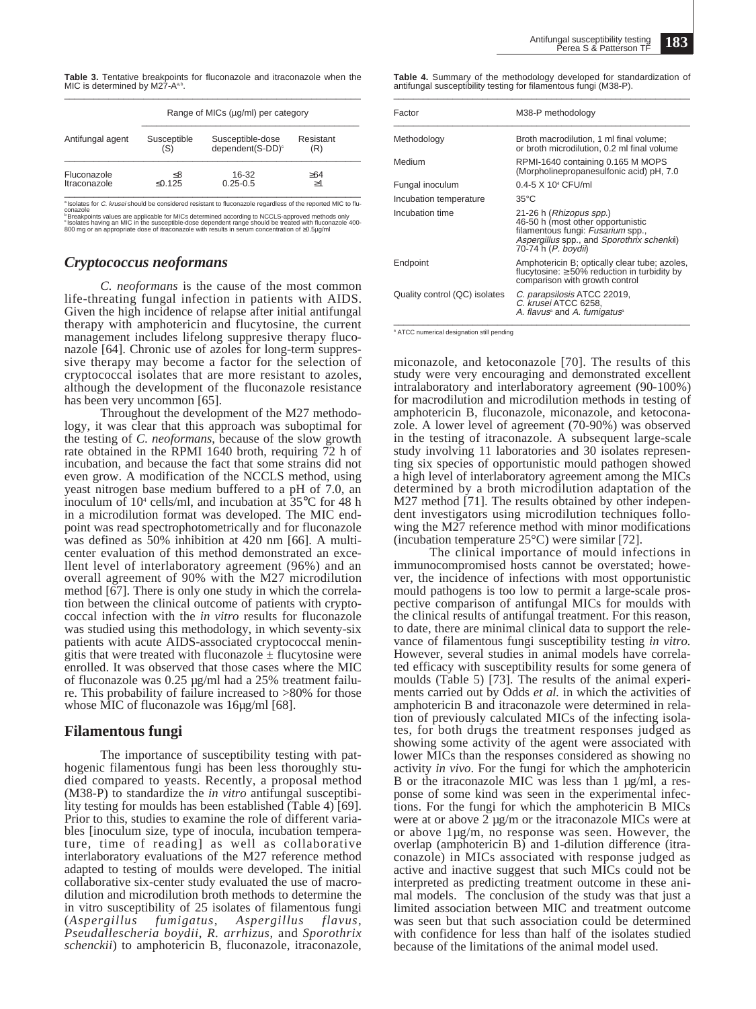**Table 3.** Tentative breakpoints for fluconazole and itraconazole when the<br>MIC is determined by M27-A<sup>a,b</sup>.

|                             | Range of MICs (µg/ml) per category |                                                  |                  |  |  |
|-----------------------------|------------------------------------|--------------------------------------------------|------------------|--|--|
| Antifungal agent            | Susceptible<br>(S)                 | Susceptible-dose<br>dependent(S-DD) <sup>c</sup> | Resistant<br>(R) |  |  |
| Fluconazole<br>Itraconazole | <8<br>≤0.125                       | 16-32<br>$0.25 - 0.5$                            | >64<br>>1        |  |  |

<sup>a</sup> Isolates for *C. krusei* should be considered resistant to fluconazole regardless of the reported MIC to flu-<br>conazole<br><sup>c</sup> Botakpoints values are applicable for MICs determined according to NCCLS-approved methods only<br>

# *Cryptococcus neoformans*

*C. neoformans* is the cause of the most common life-threating fungal infection in patients with AIDS. Given the high incidence of relapse after initial antifungal therapy with amphotericin and flucytosine, the current management includes lifelong suppresive therapy fluconazole [64]. Chronic use of azoles for long-term suppressive therapy may become a factor for the selection of cryptococcal isolates that are more resistant to azoles, although the development of the fluconazole resistance has been very uncommon [65].

Throughout the development of the M27 methodology, it was clear that this approach was suboptimal for the testing of *C. neoformans*, because of the slow growth rate obtained in the RPMI 1640 broth, requiring 72 h of incubation, and because the fact that some strains did not even grow. A modification of the NCCLS method, using yeast nitrogen base medium buffered to a pH of 7.0, an inoculum of 104 cells/ml, and incubation at 35°C for 48 h in a microdilution format was developed. The MIC endpoint was read spectrophotometrically and for fluconazole was defined as 50% inhibition at 420 nm [66]. A multicenter evaluation of this method demonstrated an excellent level of interlaboratory agreement (96%) and an overall agreement of 90% with the M27 microdilution method [67]. There is only one study in which the correlation between the clinical outcome of patients with cryptococcal infection with the *in vitro* results for fluconazole was studied using this methodology, in which seventy-six patients with acute AIDS-associated cryptococcal meningitis that were treated with fluconazole  $\pm$  flucytosine were enrolled. It was observed that those cases where the MIC of fluconazole was 0.25 µg/ml had a 25% treatment failure. This probability of failure increased to >80% for those whose MIC of fluconazole was 16µg/ml [68].

## **Filamentous fungi**

The importance of susceptibility testing with pathogenic filamentous fungi has been less thoroughly studied compared to yeasts. Recently, a proposal method (M38-P) to standardize the *in vitro* antifungal susceptibility testing for moulds has been established (Table 4) [69]. Prior to this, studies to examine the role of different variables [inoculum size, type of inocula, incubation temperature, time of reading] as well as collaborative interlaboratory evaluations of the M27 reference method adapted to testing of moulds were developed. The initial collaborative six-center study evaluated the use of macrodilution and microdilution broth methods to determine the in vitro susceptibility of 25 isolates of filamentous fungi (*Aspergillus fumigatus*, *Aspergillus flavus*, *Pseudallescheria boydii*, *R. arrhizus*, and *Sporothrix schenckii*) to amphotericin B, fluconazole, itraconazole, **Table 4.** Summary of the methodology developed for standardization of antifungal susceptibility testing for filamentous fungi (M38-P).

| Factor                        | M38-P methodology                                                                                                                                                      |  |  |
|-------------------------------|------------------------------------------------------------------------------------------------------------------------------------------------------------------------|--|--|
| Methodology                   | Broth macrodilution, 1 ml final volume;<br>or broth microdilution, 0.2 ml final volume                                                                                 |  |  |
| Medium                        | RPMI-1640 containing 0.165 M MOPS<br>(Morpholinepropanesulfonic acid) pH, 7.0                                                                                          |  |  |
| Fungal inoculum               | $0.4 - 5 \times 10^{4}$ CFU/ml                                                                                                                                         |  |  |
| Incubation temperature        | $35^{\circ}$ C                                                                                                                                                         |  |  |
| Incubation time               | 21-26 h (Rhizopus spp.)<br>46-50 h (most other opportunistic<br>filamentous fungi: Fusarium spp.,<br>Aspergillus spp., and Sporothrix schenkil)<br>70-74 h (P. boydii) |  |  |
| Endpoint                      | Amphotericin B; optically clear tube; azoles,<br>flucytosine: $\geq 50\%$ reduction in turbidity by<br>comparison with growth control                                  |  |  |
| Quality control (QC) isolates | C. parapsilosis ATCC 22019,<br>C. krusei ATCC 6258,<br>A. flavus <sup>®</sup> and A. fumigatus <sup>®</sup>                                                            |  |  |

<sup>a</sup> ATCC numerical designation still pending

miconazole, and ketoconazole [70]. The results of this study were very encouraging and demonstrated excellent intralaboratory and interlaboratory agreement (90-100%) for macrodilution and microdilution methods in testing of amphotericin B, fluconazole, miconazole, and ketoconazole. A lower level of agreement (70-90%) was observed in the testing of itraconazole. A subsequent large-scale study involving 11 laboratories and 30 isolates representing six species of opportunistic mould pathogen showed a high level of interlaboratory agreement among the MICs determined by a broth microdilution adaptation of the M27 method [71]. The results obtained by other independent investigators using microdilution techniques following the M27 reference method with minor modifications (incubation temperature 25°C) were similar [72].

The clinical importance of mould infections in immunocompromised hosts cannot be overstated; however, the incidence of infections with most opportunistic mould pathogens is too low to permit a large-scale prospective comparison of antifungal MICs for moulds with the clinical results of antifungal treatment. For this reason, to date, there are minimal clinical data to support the relevance of filamentous fungi susceptibility testing *in vitro.* However, several studies in animal models have correlated efficacy with susceptibility results for some genera of moulds (Table 5) [73]. The results of the animal experiments carried out by Odds *et al.* in which the activities of amphotericin B and itraconazole were determined in relation of previously calculated MICs of the infecting isolates, for both drugs the treatment responses judged as showing some activity of the agent were associated with lower MICs than the responses considered as showing no activity *in vivo*. For the fungi for which the amphotericin B or the itraconazole MIC was less than 1  $\mu$ g/ml, a response of some kind was seen in the experimental infections. For the fungi for which the amphotericin B MICs were at or above 2 µg/m or the itraconazole MICs were at or above 1µg/m, no response was seen. However, the overlap (amphotericin B) and 1-dilution difference (itraconazole) in MICs associated with response judged as active and inactive suggest that such MICs could not be interpreted as predicting treatment outcome in these animal models. The conclusion of the study was that just a limited association between MIC and treatment outcome was seen but that such association could be determined with confidence for less than half of the isolates studied because of the limitations of the animal model used.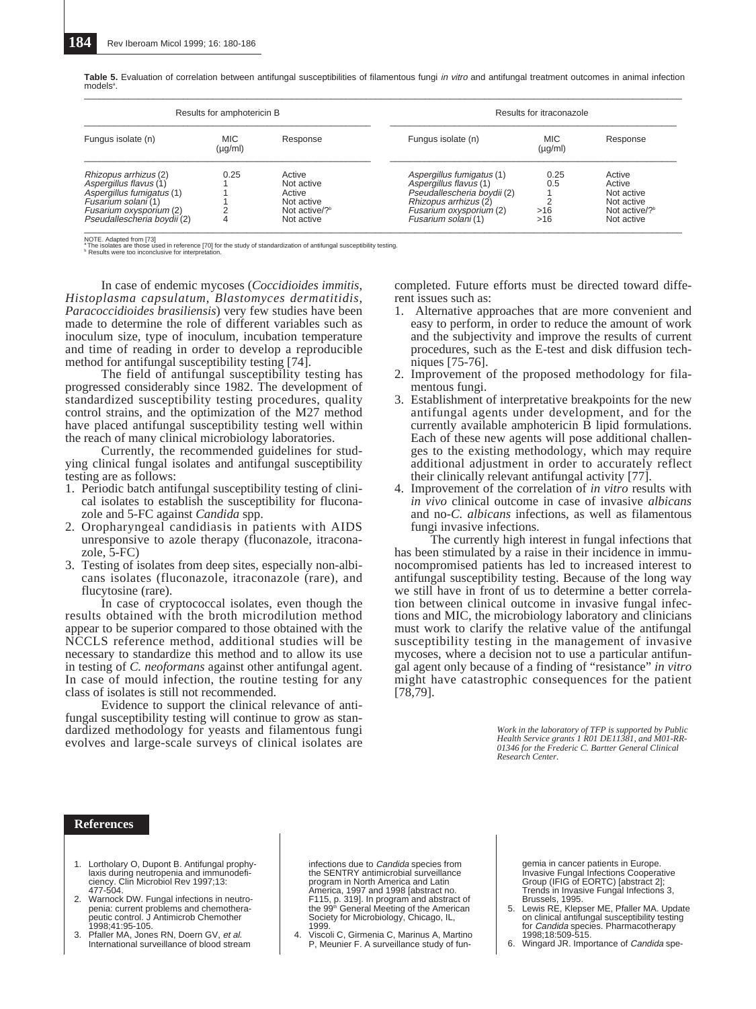| Results for amphotericin B                                                                                                                                    |                            | Results for itraconazole                                                       |                                                                                                                                                               |                            |                                                                                         |
|---------------------------------------------------------------------------------------------------------------------------------------------------------------|----------------------------|--------------------------------------------------------------------------------|---------------------------------------------------------------------------------------------------------------------------------------------------------------|----------------------------|-----------------------------------------------------------------------------------------|
| Fungus isolate (n)                                                                                                                                            | <b>MIC</b><br>$(\mu g/ml)$ | Response                                                                       | Fungus isolate (n)                                                                                                                                            | <b>MIC</b><br>$(\mu g/ml)$ | Response                                                                                |
| Rhizopus arrhizus (2)<br>Aspergillus flavus (1)<br>Aspergillus fumigatus (1)<br>Fusarium solani (1)<br>Fusarium oxysporium (2)<br>Pseudallescheria boydii (2) | 0.25                       | Active<br>Not active<br>Active<br>Not active<br>Not active/? $b$<br>Not active | Aspergillus fumigatus (1)<br>Aspergillus flavus (1)<br>Pseudallescheria boydii (2)<br>Rhizopus arrhizus (2)<br>Fusarium oxysporium (2)<br>Fusarium solani (1) | 0.25<br>0.5<br>>16<br>>16  | Active<br>Active<br>Not active<br>Not active<br>Not active/? <sup>b</sup><br>Not active |

**Table 5.** Evaluation of correlation between antifungal susceptibilities of filamentous fungi in vitro and antifungal treatment outcomes in animal infection models<sup>a</sup> .

NOTE. Adapted from [73]<br>\* The isolates are those used in reference [70] for the study of standardization of antifungal susceptibility testing.<br><sup>8</sup> Results were too inconclusive for interpretation.

In case of endemic mycoses (*Coccidioides immitis*, *Histoplasma capsulatum*, *Blastomyces dermatitidis, Paracoccidioides brasiliensis*) very few studies have been made to determine the role of different variables such as inoculum size, type of inoculum, incubation temperature and time of reading in order to develop a reproducible method for antifungal susceptibility testing [74].

The field of antifungal susceptibility testing has progressed considerably since 1982. The development of standardized susceptibility testing procedures, quality control strains, and the optimization of the M27 method have placed antifungal susceptibility testing well within the reach of many clinical microbiology laboratories.

Currently, the recommended guidelines for studying clinical fungal isolates and antifungal susceptibility testing are as follows:

- 1. Periodic batch antifungal susceptibility testing of clinical isolates to establish the susceptibility for fluconazole and 5-FC against *Candida* spp.
- 2. Oropharyngeal candidiasis in patients with AIDS unresponsive to azole therapy (fluconazole, itraconazole, 5-FC)
- 3. Testing of isolates from deep sites, especially non-albicans isolates (fluconazole, itraconazole (rare), and flucytosine (rare).

In case of cryptococcal isolates, even though the results obtained with the broth microdilution method appear to be superior compared to those obtained with the NCCLS reference method, additional studies will be necessary to standardize this method and to allow its use in testing of *C. neoformans* against other antifungal agent. In case of mould infection, the routine testing for any class of isolates is still not recommended.

Evidence to support the clinical relevance of antifungal susceptibility testing will continue to grow as standardized methodology for yeasts and filamentous fungi evolves and large-scale surveys of clinical isolates are completed. Future efforts must be directed toward different issues such as:

- 1. Alternative approaches that are more convenient and easy to perform, in order to reduce the amount of work and the subjectivity and improve the results of current procedures, such as the E-test and disk diffusion techniques [75-76].
- 2. Improvement of the proposed methodology for filamentous fungi.
- 3. Establishment of interpretative breakpoints for the new antifungal agents under development, and for the currently available amphotericin B lipid formulations. Each of these new agents will pose additional challenges to the existing methodology, which may require additional adjustment in order to accurately reflect their clinically relevant antifungal activity [77].
- 4. Improvement of the correlation of *in vitro* results with *in vivo* clinical outcome in case of invasive *albicans* and no-*C. albicans* infections, as well as filamentous fungi invasive infections.

The currently high interest in fungal infections that has been stimulated by a raise in their incidence in immunocompromised patients has led to increased interest to antifungal susceptibility testing. Because of the long way we still have in front of us to determine a better correlation between clinical outcome in invasive fungal infections and MIC, the microbiology laboratory and clinicians must work to clarify the relative value of the antifungal susceptibility testing in the management of invasive mycoses, where a decision not to use a particular antifungal agent only because of a finding of "resistance" *in vitro* might have catastrophic consequences for the patient [78,79].

> *Work in the laboratory of TFP is supported by Public Health Service grants 1 R01 DE11381, and M01-RR-01346 for the Frederic C. Bartter General Clinical Research Center.*

#### **References**

- 1. Lortholary O, Dupont B. Antifungal prophylaxis during neutropenia and immunodeficiency. Clin Microbiol Rev 1997;13:
- 477-504. 2. Warnock DW. Fungal infections in neutropenia: current problems and chemotherapeutic control. J Antimicrob Chemother 1998;41:95-105.
- 3. Pfaller MA, Jones RN, Doern GV, et al.<br>International surveillance of blood stream

infections due to Candida species from the SENTRY antimicrobial surveillance program in North America and Latin America, 1997 and 1998 [abstract no.<br>F115, p. 319]. In program and abstract of<br>the 99ª General Meeting of the American Society for Microbiology, Chicago, IL, 1999.

4. Viscoli C, Girmenia C, Marinus A, Martino P, Meunier F. A surveillance study of fun-

gemia in cancer patients in Europe. Invasive Fungal Infections Cooperative Group (IFIG of EORTC) [abstract 2]; Trends in Invasive Fungal Infections 3, Brussels, 1995.

- 5. Lewis RE, Klepser ME, Pfaller MA. Update on clinical antifungal susceptibility testing<br>for *Candida* species. Pharmacotherapy 1998;18:509-515.
- 6. Wingard JR. Importance of Candida spe-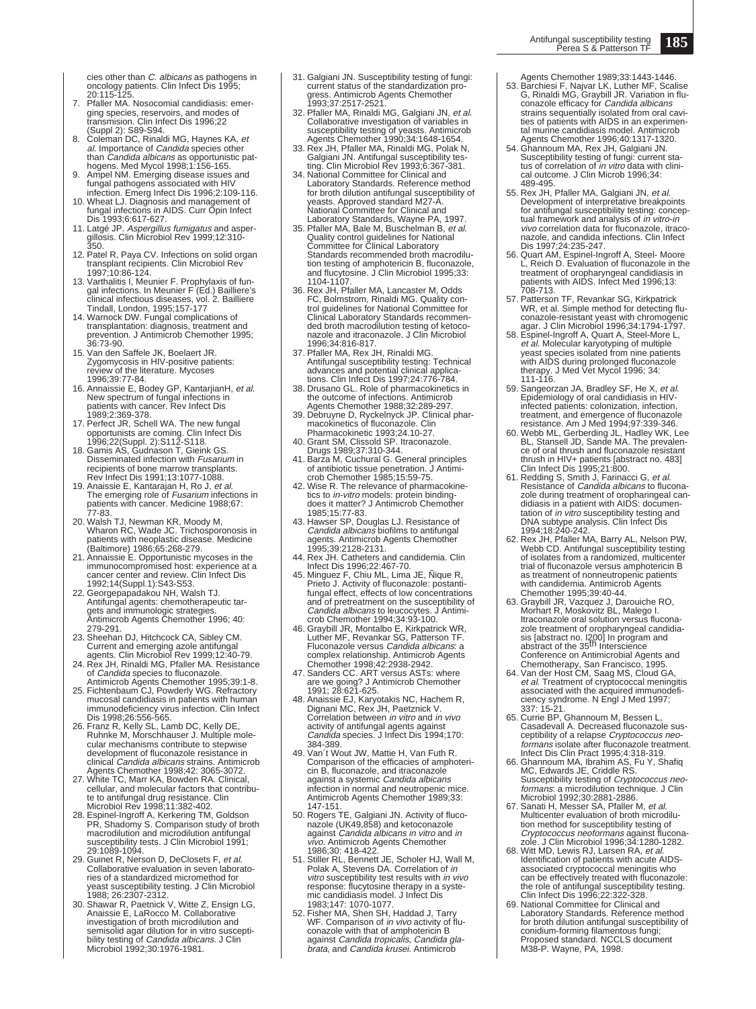cies other than *C. albicans* as pathogens in<br>oncology patients. Clin Infect Dis 1995; 20:115-125.

- 7. Pfaller MA. Nosocomial candidiasis: emerging species, reservoirs, and modes of transmision. Clin Infect Dis 1996;22 (Suppl 2): S89-S94.
- 8. Coleman DC, Rinaldi MG, Haynes KA, et al. Importance of Candida species other
- 
- than *Candida albicans* as opportunistic pathogens. Med Mycol 1998;1:156-165.<br>Ampel NM. Emerging disease issues and<br>fungal pathogens associated with HIV<br>infection. Emerg Infect Dis 1996;2:109-116.<br>10. Wheat LJ. Diagnosis a
- 11. Latgé JP. Aspergillus fumigatus and asper-gillosis. Clin Microbiol Rev 1999;12:310- 350.
- 12. Patel R, Paya CV. Infections on solid organ transplant recipients. Clin Microbiol Rev 1997;10:86-124.
- 13. Varthalitis I, Meunier F. Prophylaxis of fun-<br>gal infections. In Meunier F (Ed.) Bailliere's<br>clinical infectious diseases, vol. 2. Bailliere<br>Tindall, London, 1995;157-177<br>14. Warnock DW. Fungal complications of
- transplantation: diagnosis, treatment and prevention. J Antimicrob Chemother 1995; 36:73-90.
- 15. Van den Saffele JK, Boelaert JR. Zygomycosis in HIV-positive patients: review of the literature. Mycoses
- 1996;39:77-84.<br>16. Annaissie E, Bodey GP, KantarjianH, *et al.*<br>New spectrum of fungal infections in<br>patients with cancer. Rev Infect Dis 1989;2:369-378.
- 17. Perfect JR, Schell WA. The new fungal opportunists are coming. Clin Infect Dis 1996;22(Suppl. 2):S112-S118. 18. Gamis AS, Gudnason T, Gieink GS.
- Disseminated infection with Fusarium in recipients of bone marrow transplants. Rev Infect Dis 1991;13:1077-1088
- 19. Anaissie E, Kantarajan H, Ro J, *et al.*<br>The emerging role of *Fusarium* infections in<br>patients with cancer. Medicine 1988;67:
- 77-83.<br>20. Walsh TJ, Newman KR, Moody M,<br>Wharon RC, Wade JC. Trichosporonosis in<br>patients with neoplastic disease. Medicine<br>(Baltimore) 1986;65:268-279.<br>21. Annaissie E. Opportunistic mycoses in the<br>immunocompromised host:
- immunocompromised host: experience at a<br>cancer center and review. Clin Infect Dis
- 1992;14(Suppl.1):S43-S53. 22. Georgepapadakou NH, Walsh TJ. Antifungal agents: chemotherapeutic targets and immunologic strategies. Antimicrob Agents Chemother 1996; 40:
- 
- 279-291.<br>
23. Sheehan DJ, Hitchcock CA, Sibley CM.<br>
Current and emerging azole antifungal<br>
agents. Clin Microbiol Rev 1999;12:40-79.<br>
24. Rex JH, Rinaldi MG, Pfaller MA. Resistance<br>
of *Candida* species to fluconazole.<br>
An
- immunodeficiency virus infection. Clin Infect Dis 1998;26:556-565.
- 26. Franz R, Kelly SL, Lamb DC, Kelly DE, Ruhnke M, Morschhauser J. Multiple mole-cular mechanisms contribute to stepwise development of fluconazole resistance in clinical *Candida albicans* strains. Antimicrob<br>Agents Chemother 1998;42: 3065-3072.
- 27. White TC, Marr KA, Bowden RA. Clinical, cellular, and molecular factors that contribu-te to antifungal drug resistance. Clin
- Microbiol Rev 1998;11:382-402. 28. Espinel-Ingroff A, Kerkering TM, Goldson PR, Shadomy S. Comparison study of broth macrodilution and microdilution antifungal susceptibility tests. J Clin Microbiol 1991; 29:1089-1094.
- 29. Guinet R, Nerson D, DeClosets F, et al. Collaborative evaluation in seven laboratories of a standardized micromethod for yeast susceptibility testing. J Clin Microbiol 1988; 26:2307-2312.
- 30. Shawar R, Paetnick V, Witte Z, Ensign LG, Anaissie E, LaRocco M. Collaborative investigation of broth microdilution and semisolid agar dilution for in vitro susceptibility testing of Candida albicans. J Clin Microbiol 1992;30:1976-1981.
- 31. Galgiani JN. Susceptibility testing of fungi: current status of the standardization progress. Antimicrob Agents Chemother 1993;37:2517-2521.
- 32. Pfaller MA, Rinaldi MG, Galgiani JN, *et al.*<br>Collaborative investigation of variables in<br>susceptibility testing of yeasts. Antimicrob<br>Agents Chemother 1990;34:1648-1654.<br>33. Rex JH, Pfaller MA, Rinaldi MG, Polak N,
- Galgiani JN. Antifungal susceptibility tes-ting. Clin Microbiol Rev 1993;6:367-381. 34. National Committee for Clinical and
- Laboratory Standards. Reference method for broth dilution antifungal susceptibility of yeasts. Approved standard M27-A.<br>National Committee for Clinical and<br>Laboratory Standards, Wayne PA, 1997.<br>35. Pfaller MA, Bale M, Buschelman B, *et al.*
- Quality control guidelines for National Committee for Clinical Laboratory Standards recommended broth macrodilution testing of amphotericin B, fluconazole, and flucytosine. J Clin Microbiol 1995;33: 1104-1107.
- 36. Rex JH, Pfaller MA, Lancaster M, Odds FC, Bolmstrom, Rinaldi MG. Quality control guidelines for National Committee for Clinical Laboratory Standards recommen-ded broth macrodilution testing of ketoconazole and itraconazole. J Clin Microbiol 1996;34:816-817.
- 37. Pfaller MA, Rex JH, Rinaldi MG. Antifungal susceptibility testing: Technical advances and potential clinical applications. Clin Infect Dis 1997;24:776-784.
- 38. Drusano GL. Role of pharmacokinetics in the outcome of infections. Antimicrob
- Agents Chemother 1988;32:289-297. 39. Debruyne D, Ryckelnyck JP. Clinical phar-macokinetics of fluconazole. Clin
- Pharmacokinetic 1993;24.10-27. 40. Grant SM, Clissold SP. Itraconazole. Drugs 1989;37:310-344.
- 41. Barza M, Cuchural G. General principles of antibiotic tissue penetration. J Antimi-crob Chemother 1985;15:59-75.
- 42. Wise R. The relevance of pharmacokine-tics to in-vitro models: protein bindingdoes it matter? J Antimicrob Chemother
- 1985;15:77-83. 43. Hawser SP, Douglas LJ. Resistance of Candida albicans biofilms to antifungal agents. Antimicrob Agents Chemother 1995;39:2128-2131.
- 44. Rex JH. Catheters and candidemia. Clin Infect Dis 1996;22:467-70. 45. Minguez F, Chiu ML, Lima JE, Ñique R,
- Prieto J. Activity of fluconazole: postanti-fungal effect, effects of low concentrations and of pretreatment on the susceptibility of
- Candida albicans to leucocytes. J Antimi-crob Chemother 1994;34:93-100. 46. Graybill JR, Montalbo E, Kirkpatrick WR, Luther MF, Revankar SG, Patterson TF.
- Fluconazole versus *Candida albicans*: a complex relationship. Antimicrob Agents<br>Chemother 1998;42:2938-2942.<br>47. Sanders CC. ART versus ASTs: where<br>are we going? J Antimicrob Chemother<br>1991; 28:621-625.
- 48. Anaissie EJ, Karyotakis NC, Hachem R,<br>Dignani MC, Rex JH, Paetznick V.<br>Correlation between *in vitro* and *in vivo* activity of antifungal agents against<br>*Candida* species. J Infect Dis 1994;170:<br>384-389.
- 49. Van´t Wout JW, Mattie H, Van Futh R. Comparison of the efficacies of amphoteri-cin B, fluconazole, and itraconazole against a systemic Candida albicans infection in normal and neutropenic mice. Antimicrob Agents Chemother 1989;33:
- 147-151. 50. Rogers TE, Galgiani JN. Activity of fluco-nazole (UK49,858) and ketoconazole against Candida albicans in vitro and in vivo. Antimicrob Agents Chemother 1986;30: 418-422.
- 51. Stiller RL, Bennett JE, Scholer HJ, Wall M,<br>Polak A, Stevens DA. Correlation of *in*<br>vitro susceptibility test results with *in vivo* response: flucytosine therapy in a syste-mic candidiasis model. J Infect Dis 1983;147: 1070-1077.
- 52. Fisher MA, Shen SH, Haddad J, Tarry<br>WF. Comparison of *in vivo* activity of fluconazole with that of amphotericin B against Candida tropicalis, Candida gla-brata, and Candida krusei. Antimicrob
- Agents Chemother 1989;33:1443-1446.<br>53. Barchiesi F, Najvar LK, Luther MF, Scalise<br>G, Rinaldi MG, Graybill JR. Variation in flu-<br>conazole efficacy for *Candida albicans* strains sequentially isolated from oral cavi-ties of patients with AIDS in an experimen-
- tal murine candidiasis model. Antimicrob Agents Chemother 1996;40:1317-1320.<br>54. Ghannoum MA, Rex JH, Galgiani JN.<br>Susceptibility testing of fungi: current sta-<br>tus of correlation of *in vitro* data with clini-<br>cal outcome. J Clin Microb 1996;34:
- 489-495.
- 55. Rex JH, Pfaller MA, Galgiani JN, et al.<br>Development of interpretative breakpoints for antifungal susceptibility testing: concep-<br>tual framework and analysis of *in vitro-in* vivo correlation data for fluconazole, itraconazole, and candida infections. Clin Infect Dis 1997;24:235-247.
- 56. Quart AM, Espinel-Ingroff A, Steel- Moore L, Reich D. Evaluation of fluconazole in the treatment of oropharyngeal candidiasis in patients with AIDS. Infect Med 1996;13: 708-713.
- 57. Patterson TF, Revankar SG, Kirkpatrick<br>
WR, et al. Simple method for detecting flu-<br>
conazole-resistant yeast with chromogenic<br>
agar. J Clin Microbiol 1996;34:1794-1797.<br>
58. Espinel-Ingroff A, Quart A, Steel-More L,<br>
- yeast species isolated from nine patients with AIDS during prolonged fluconazole therapy. J Med Vet Mycol 1996; 34:  $111 - 116$ .
- 59. Sangeorzan JA, Bradley SF, He X, *et al.*<br>- Epidemiology of oral candidiasis in HIV infected patients: colonization, infection, treatment, and emergence of fluconazole resistance. Am J Med 1994;97:339-346.
- 60. Webb ML, Gerberding JL, Hadley WK, Lee BL, Stansell JD, Sande MA. The prevalen-ce of oral thrush and fluconazole resistant thrush in HIV+ patients [abstract no. 483] Clin Infect Dis 1995;21:800.
- 61. Redding S, Smith J, Farinacci G, et al. Resistance of *Candida albicans* to flucona-<br>zole during treatment of oropharingeal candidiasis in a patient with AIDS: documentation of *in vitro* susceptibility testing and<br>
DNA subtype analysis. Clin Infect Dis<br>
1994;18:240-242.<br>
62. Rex JH, Pfaller MA, Barry AL, Nelson PW,<br>
Webb CD. Antifungal susceptibility testing
- of isolates from a randomized, multicenter trial of fluconazole versus amphotericin B as treatment of nonneutropenic patients
- with candidemia. Antimicrob Agents<br>Chemother 1995;39:40-44.<br>63. Graybill JR, Vazquez J, Darouiche RO,<br>Morhart R, Moskovitz BL, Malego I.<br>Itraconazole oral solution versus fluconazole treatment of oropharyngeal candidia-<br>sis [abstract no. I200] In program and<br>abstract of the 35<sup>th</sup> Interscience
- Conference on Antimicrobial Agents and<br>Chemotherapy, San Francisco, 1995.<br>64. Van der Host CM, Saag MS, Cloud GA,<br>et al. Treatment of cryptococcal meningitis<br>associated with the acquired immunodeficiency syndrome. N Engl J Med 1997; 337: 15-21. 65. Currie BP, Ghannoum M, Bessen L,
- Casadevall A. Decreased fluconazole susceptibility of a relapse Cryptococcus neo-<br>formans isolate after fluconazole treatment.
- Infect Dis Clin Pract 1995;4:318-319. 66. Ghannoum MA, Ibrahim AS, Fu Y, Shafiq MC, Edwards JE, Criddle RS. Susceptibility testing of *Cryptococcus neo*formans: a microdilution technique. J Clin Microbiol 1992;30:2881-2886.
- 67. Sanati H, Messer SA, Pfaller M, et al.<br>Multicenter evaluation of broth microdilution method for susceptibility testing of Cryptococcus neoformans against flucona-<br>zole. J Clin Microbiol 1996;34:1280-1282.<br>68. Witt MD, Lewis RJ, Larsen RA, *et al.*<br>Identification of patients with acute AIDS-
- associated cryptococcal meningitis who can be effectively treated with fluconazole: the role of antifungal susceptibility testing. Clin Infect Dis 1996;22:322-328.
- 69. National Committee for Clinical and Laboratory Standards. Reference method for broth dilution antifungal susceptibility of conidium-forming filamentous fungi; Proposed standard. NCCLS document M38-P. Wayne, PA, 1998.